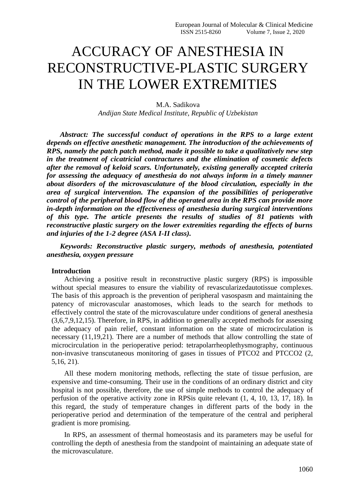## ACCURACY OF ANESTHESIA IN RECONSTRUCTIVE-PLASTIC SURGERY IN THE LOWER EXTREMITIES

M.A. Sadikova *Andijan State Medical Institute, Republic of Uzbekistan*

*Abstract: The successful conduct of operations in the RPS to a large extent depends on effective anesthetic management. The introduction of the achievements of RPS, namely the patch patch method, made it possible to take a qualitatively new step in the treatment of cicatricial contractures and the elimination of cosmetic defects after the removal of keloid scars. Unfortunately, existing generally accepted criteria for assessing the adequacy of anesthesia do not always inform in a timely manner about disorders of the microvasculature of the blood circulation, especially in the area of surgical intervention. The expansion of the possibilities of perioperative control of the peripheral blood flow of the operated area in the RPS can provide more in-depth information on the effectiveness of anesthesia during surgical interventions of this type. The article presents the results of studies of 81 patients with reconstructive plastic surgery on the lower extremities regarding the effects of burns and injuries of the 1-2 degree (ASA I-II class).*

*Keywords: Reconstructive plastic surgery, methods of anesthesia, potentiated anesthesia, oxygen pressure*

## **Introduction**

Achieving a positive result in reconstructive plastic surgery (RPS) is impossible without special measures to ensure the viability of revascularizedautotissue complexes. The basis of this approach is the prevention of peripheral vasospasm and maintaining the patency of microvascular anastomoses, which leads to the search for methods to effectively control the state of the microvasculature under conditions of general anesthesia (3,6,7,9,12,15). Therefore, in RPS, in addition to generally accepted methods for assessing the adequacy of pain relief, constant information on the state of microcirculation is necessary (11,19,21). There are a number of methods that allow controlling the state of microcirculation in the perioperative period: tetrapolarrheoplethysmography, continuous non-invasive transcutaneous monitoring of gases in tissues of PTCO2 and PTCCO2 (2, 5,16, 21).

All these modern monitoring methods, reflecting the state of tissue perfusion, are expensive and time-consuming. Their use in the conditions of an ordinary district and city hospital is not possible, therefore, the use of simple methods to control the adequacy of perfusion of the operative activity zone in RPSis quite relevant (1, 4, 10, 13, 17, 18). In this regard, the study of temperature changes in different parts of the body in the perioperative period and determination of the temperature of the central and peripheral gradient is more promising.

In RPS, an assessment of thermal homeostasis and its parameters may be useful for controlling the depth of anesthesia from the standpoint of maintaining an adequate state of the microvasculature.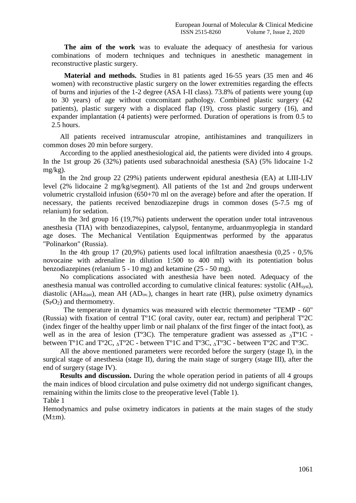**The aim of the work** was to evaluate the adequacy of anesthesia for various combinations of modern techniques and techniques in anesthetic management in reconstructive plastic surgery.

**Material and methods.** Studies in 81 patients aged 16-55 years (35 men and 46 women) with reconstructive plastic surgery on the lower extremities regarding the effects of burns and injuries of the 1-2 degree (ASA I-II class). 73.8% of patients were young (up to 30 years) of age without concomitant pathology. Combined plastic surgery (42 patients), plastic surgery with a displaced flap (19), cross plastic surgery (16), and expander implantation (4 patients) were performed. Duration of operations is from 0.5 to 2.5 hours.

All patients received intramuscular atropine, antihistamines and tranquilizers in common doses 20 min before surgery.

According to the applied anesthesiological aid, the patients were divided into 4 groups. In the 1st group 26 (32%) patients used subarachnoidal anesthesia (SA) (5% lidocaine 1-2 mg/kg).

In the 2nd group 22 (29%) patients underwent epidural anesthesia (EA) at LIII-LIV level (2% lidocaine 2 mg/kg/segment). All patients of the 1st and 2nd groups underwent volumetric crystalloid infusion (650+70 ml on the average) before and after the operation. If necessary, the patients received benzodiazepine drugs in common doses (5-7.5 mg of relanium) for sedation.

In the 3rd group 16 (19,7%) patients underwent the operation under total intravenous anesthesia (TIA) with benzodiazepines, calypsol, fentanyme, arduanmyoplegia in standard age doses. The Mechanical Ventilation Equipmentwas performed by the apparatus "Polinarkon" (Russia).

In the 4th group 17 (20.9%) patients used local infiltration anaesthesia (0.25 - 0.5%) novocaine with adrenaline in dilution 1:500 to 400 ml) with its potentiation bolus benzodiazepines (relanium 5 - 10 mg) and ketamine (25 - 50 mg).

No complications associated with anesthesia have been noted. Adequacy of the anesthesia manual was controlled according to cumulative clinical features: systolic (AHsyst), diastolic (AH $_{\text{diast}}$ ), mean AH (AD<sub>ov</sub>), changes in heart rate (HR), pulse oximetry dynamics  $(S_PO_2)$  and thermometry.

 The temperature in dynamics was measured with electric thermometer "TEMP - 60" (Russia) with fixation of central Tº1C (oral cavity, outer ear, rectum) and peripheral Tº2C (index finger of the healthy upper limb or nail phalanx of the first finger of the intact foot), as well as in the area of lesion (Tº3C). The temperature gradient was assessed as ∆Tº1C between Tº1C and Tº2C, ∆Tº2C - between Tº1C and Tº3C, ∆Tº3C - between Tº2C and Tº3C.

All the above mentioned parameters were recorded before the surgery (stage I), in the surgical stage of anesthesia (stage II), during the main stage of surgery (stage III), after the end of surgery (stage IV).

**Results and discussion.** During the whole operation period in patients of all 4 groups the main indices of blood circulation and pulse oximetry did not undergo significant changes, remaining within the limits close to the preoperative level (Table 1).

Table 1

Hemodynamics and pulse oximetry indicators in patients at the main stages of the study  $(M \pm m)$ .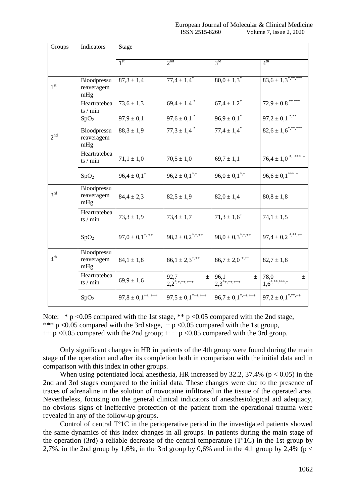| Groups          | Indicators<br>Stage              |                                   |                                       |                                             |                                        |  |
|-----------------|----------------------------------|-----------------------------------|---------------------------------------|---------------------------------------------|----------------------------------------|--|
|                 |                                  | 1 <sup>st</sup>                   | 2 <sup>nd</sup>                       | 3 <sup>rd</sup>                             | 4 <sup>th</sup>                        |  |
| 1 <sup>st</sup> | Bloodpressu<br>reaveragem<br>mHg | $87,3 \pm 1,4$                    | $77,4 \pm 1,4$ <sup>*</sup>           | $80,0 \pm 1,3$ <sup>*</sup>                 | $83.6 \pm 1.3$ <sup>*****</sup>        |  |
|                 | Heartratebea<br>ts $/$ min       | $73.6 \pm 1.3$                    | $69.4 \pm 1.4$                        | $67.4 \pm 1.2$ <sup>*</sup>                 | $72.9 \pm 0.8$ ****                    |  |
|                 | SpO <sub>2</sub>                 | $97.9 \pm 0.1$                    | $97.6 \pm 0.1$                        | $96.9 \pm 0.1$                              | $97,2 \pm 0.1$ <sup>***</sup>          |  |
| 2 <sup>nd</sup> | Bloodpressu<br>reaveragem<br>mHg | $88.3 \pm 1.9$                    | $77.3 \pm 1.4$ <sup>*</sup>           | $77.4 \pm 1.4$ <sup>*</sup>                 |                                        |  |
|                 | Heartratebea<br>ts $/$ min       | $71,1 \pm 1,0$                    | $70,5 \pm 1,0$                        | $69,7 \pm 1,1$                              | $76.4 \pm 1.0$ $^{*}.$ $^{***}$ $^{+}$ |  |
|                 | SpO <sub>2</sub>                 | $96.4 \pm 0.1$ <sup>+</sup>       | $96.2 \pm 0.1^{\ast,+}$               | $96.0 \pm 0.1$ <sup>*,+</sup>               | $96,6 \pm 0.1$ *** +                   |  |
| 3 <sup>rd</sup> | Bloodpressu<br>reaveragem<br>mHg | $84.4 \pm 2.3$                    | $82,5 \pm 1,9$                        | $82.0 \pm 1.4$                              | $80,8 \pm 1,8$                         |  |
|                 | Heartratebea<br>ts $/$ min       | $73,3 \pm 1,9$                    | $73,4 \pm 1,7$                        | $71,3 \pm 1,6^+$                            | $74,1 \pm 1,5$                         |  |
|                 | SpO <sub>2</sub>                 | $97.0 \pm 0.1^{+,++}$             | $98.2 \pm 0.2$ <sup>*</sup> ,*,**     | $98.0 \pm 0.3$ <sup>*,+,++</sup>            | $97.4 \pm 0.2$ <sup>****++</sup>       |  |
| 4 <sup>th</sup> | Bloodpressu<br>reaveragem<br>mHg | $84,1 \pm 1,8$                    | $86,1 \pm 2,3^{+,++}$                 | $86.7 \pm 2.0$ <sup>+,++</sup>              | $82.7 \pm 1.8$                         |  |
|                 | Heartratebea<br>ts / min         | $69,9 \pm 1,6$                    | $92,7$<br>$2.2^{*,+,++,+++}$<br>$\pm$ | $96,1$<br>2.3 <sup>*+,++,+++</sup><br>$\pm$ | $78,0$<br>$1,6^{*,**,***,+}$<br>$\pm$  |  |
|                 | SpO <sub>2</sub>                 | $97,8 \pm 0.1$ <sup>++, +++</sup> | $97.5 \pm 0.1$ <sup>*++++++</sup>     | $96.7 \pm 0.1$ <sup>*,++,+++</sup>          | $97.2 \pm 0.1$ <sup>*,**,++</sup>      |  |

Note: \* p < 0.05 compared with the 1st stage, \*\* p < 0.05 compared with the 2nd stage, \*\*\* p <0.05 compared with the 3rd stage,  $+p$  <0.05 compared with the 1st group,  $+$  p <0.05 compared with the 2nd group;  $++$  p <0.05 compared with the 3rd group.

Only significant changes in HR in patients of the 4th group were found during the main stage of the operation and after its completion both in comparison with the initial data and in comparison with this index in other groups.

When using potentiated local anesthesia, HR increased by 32.2, 37.4% ( $p < 0.05$ ) in the 2nd and 3rd stages compared to the initial data. These changes were due to the presence of traces of adrenaline in the solution of novocaine infiltrated in the tissue of the operated area. Nevertheless, focusing on the general clinical indicators of anesthesiological aid adequacy, no obvious signs of ineffective protection of the patient from the operational trauma were revealed in any of the follow-up groups.

Control of central Tº1C in the perioperative period in the investigated patients showed the same dynamics of this index changes in all groups. In patients during the main stage of the operation (3rd) a reliable decrease of the central temperature ( $T^{\circ}1C$ ) in the 1st group by 2,7%, in the 2nd group by 1,6%, in the 3rd group by 0,6% and in the 4th group by 2,4% ( $p <$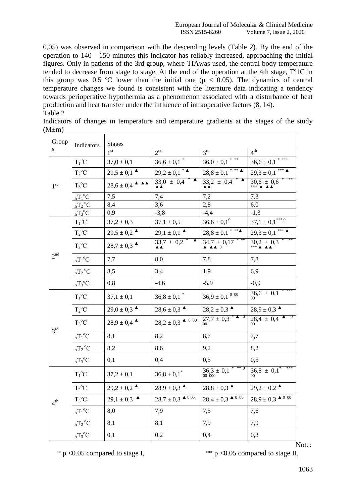0,05) was observed in comparison with the descending levels (Table 2). By the end of the operation to 140 - 150 minutes this indicator has reliably increased, approaching the initial figures. Only in patients of the 3rd group, where TIAwas used, the central body temperature tended to decrease from stage to stage. At the end of the operation at the 4th stage, Tº1C in this group was 0.5 °C lower than the initial one ( $p < 0.05$ ). The dynamics of central temperature changes we found is consistent with the literature data indicating a tendency towards perioperative hypothermia as a phenomenon associated with a disturbance of heat production and heat transfer under the influence of intraoperative factors (8, 14). Table 2

| Group           | Indicators                         | <b>Stages</b>                                    |                                                  |                                                  |                                                  |  |  |
|-----------------|------------------------------------|--------------------------------------------------|--------------------------------------------------|--------------------------------------------------|--------------------------------------------------|--|--|
| S               |                                    | 1 <sup>st</sup>                                  | 2 <sup>nd</sup>                                  | 3 <sup>rd</sup>                                  | 4 <sup>th</sup>                                  |  |  |
| 1 <sup>st</sup> | $T_1^0C$                           | $37,0 \pm 0,1$                                   | $36,6 \pm 0,1$                                   | $* * *$<br>$36,0 \pm 0,1$                        | * ***<br>$36,6 \pm 0,1$                          |  |  |
|                 | $T_2^0C$                           | $29.5 \pm 0.1$ <sup><math>\triangle</math></sup> | $29,2 \pm 0,1$ <sup>*</sup>                      | $28,8 \pm 0,1$ * **                              | $29.3 \pm 0.1$ <sup>***</sup>                    |  |  |
|                 | $T_3^0C$                           | $28,6 \pm 0,4$ $\triangle$ $\triangle$           | $33.0 \pm 0.4$<br>▲▲                             | $33.2 \pm 0.4$<br>▲▲                             | $30,6 \pm 0,6$<br>***<br><b>A</b>                |  |  |
|                 | $_{\Delta}T_1{}^0C$                | 7,5                                              | 7,4                                              | 7,2                                              | 7,3                                              |  |  |
|                 | $_{\Delta}T_2$ <sup>o</sup> C      | 8,4                                              | 3,6                                              | 2,8                                              | 6,0                                              |  |  |
|                 | $_{\Lambda}T_3^{\circ}C$           | 0,9                                              | $-3,8$                                           | $-4,4$                                           | $-1,3$                                           |  |  |
|                 | $T_1^0C$                           | $37,2 \pm 0,3$                                   | $37,1 \pm 0.5$                                   | $36,6 \pm 0,1^0$                                 | $37,1 \pm 0,1$ <sup>*** 0</sup>                  |  |  |
| 2 <sup>nd</sup> | $T_2^0C$                           | $29.5 \pm 0.2$ <sup><math>\triangle</math></sup> | $29,1 \pm 0.1$ <sup><math>\triangle</math></sup> | $28,8 \pm 0,1$ <sup>****</sup>                   | $29.3 \pm 0.1$                                   |  |  |
|                 | $T_3^0C$                           | $28.7 \pm 0.3$ <sup><math>\triangle</math></sup> | $33.7 \pm 0.2$<br>A A                            | $34.7 \pm 0.17$<br>$\triangle$ $\triangle$ 4.0   | $30,2 \pm 0,3$<br>*** $\triangle$ $\triangle$    |  |  |
|                 | $_{\Delta}{T_{1}}^{0}C$            | 7,7                                              | 8,0                                              | 7,8                                              | 7,8                                              |  |  |
|                 | $_\Delta\mathrm{T_2\,^o\mathrm{C}$ | 8,5                                              | 3,4                                              | 1,9                                              | 6,9                                              |  |  |
|                 | $_{\Delta}T_3^{\circ}C$            | 0,8                                              | $-4,6$                                           | $-5,9$                                           | $-0,9$                                           |  |  |
| $3^{\text{rd}}$ | $T_1^0C$                           | $37,1 \pm 0,1$                                   | $36.8 \pm 0.1$ <sup>*</sup>                      | $36.9\pm0.1$ $^0$ $^{00}$                        | $36,6 \pm 0,1$<br>0 <sup>0</sup>                 |  |  |
|                 | $T_2^0C$                           | $29.0 \pm 0.3$ <sup><math>\triangle</math></sup> | $28,6 \pm 0.3$ <sup><math>\triangle</math></sup> | $28.2 \pm 0.3$ <sup><math>\triangle</math></sup> | $28.9 \pm 0.3$ <sup><math>\triangle</math></sup> |  |  |
|                 | $T_3^0C$                           | $28.9 \pm 0.4$ <sup><math>\triangle</math></sup> | $28,2 \pm 0,3$ $\triangle$ 0 00                  | $27.7 \pm 0.3$ $*$ $\triangle$ 0                 | $28,4 \pm 0,4$ $^{\circ}$                        |  |  |
|                 | $_{\Delta}T_1^{\ 0}C$              | 8,1                                              | 8,2                                              | 8,7                                              | 7,7                                              |  |  |
|                 | $_{\Delta}T_2$ <sup>o</sup> C      | 8,2                                              | 8,6                                              | 9,2                                              | 8,2                                              |  |  |
|                 | $_{\Delta}T_3^{\circ}C$            | 0,1                                              | 0,4                                              | 0,5                                              | 0,5                                              |  |  |
| 4 <sup>th</sup> | $T_1^0C$                           | $37,2 \pm 0,1$                                   | $36.8 \pm 0.1$ <sup>*</sup>                      | $36.3 \pm 0.1$ * ** 0<br>00 000                  | ***<br>$36.8 \pm 0.1^*$<br>0 <sup>0</sup>        |  |  |
|                 | $T_2^0C$                           | $29.2 \pm 0.2$ <sup><math>\triangle</math></sup> | $28.9 \pm 0.3$ <sup><math>\triangle</math></sup> | $28,8 \pm 0,3$ <sup><math>\triangle</math></sup> | $29.2 \pm 0.2$ <sup><math>\triangle</math></sup> |  |  |
|                 | $T_3^0C$                           | $29,1 \pm 0,3$                                   | $28.7 \pm 0.3$ $\triangle 0.00$                  | $28,4 \pm 0.3$ $\triangle$ 0 00                  | $28,9 \pm 0.3$ $\triangle$ 0 00                  |  |  |
|                 | $_{\Delta}T_1^{\circ}C$            | 8,0                                              | 7,9                                              | 7,5                                              | 7,6                                              |  |  |
|                 | $_\Delta T_2\,^0C$                 | 8,1                                              | 8,1                                              | 7,9                                              | 7,9                                              |  |  |
|                 | $_{\Delta}{T_3}^oC$                | 0,1                                              | 0,2                                              | 0,4                                              | 0,3                                              |  |  |

Indicators of changes in temperature and temperature gradients at the stages of the study  $(M \pm m)$ 

Note:

 $*$  p <0.05 compared to stage I,  $*$   $*$  p <0.05 compared to stage II,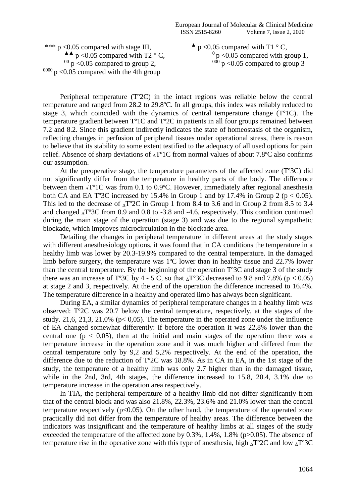\*\*\* p <0.05 compared with stage III,  $\blacklozenge$  p <0.05 compared with T1 ° C,  $0000$  p <0.05 compared with the 4th group

A p <0.05 compared with T2 ° C,<br>
<sup>00</sup> p <0.05 compared with group 1,<br>
<sup>00</sup> p <0.05 compared to group 3<br>
<sup>00</sup> p <0.05 compared to group 3  $^{000}$  p <0.05 compared to group 3

Peripheral temperature (Tº2C) in the intact regions was reliable below the central temperature and ranged from 28.2 to 29.8ºC. In all groups, this index was reliably reduced to stage 3, which coincided with the dynamics of central temperature change (Tº1C). The temperature gradient between Tº1C and Tº2C in patients in all four groups remained between 7.2 and 8.2. Since this gradient indirectly indicates the state of homeostasis of the organism, reflecting changes in perfusion of peripheral tissues under operational stress, there is reason to believe that its stability to some extent testified to the adequacy of all used options for pain relief. Absence of sharp deviations of ∆Tº1C from normal values of about 7.8ºC also confirms our assumption.

At the preoperative stage, the temperature parameters of the affected zone (Tº3C) did not significantly differ from the temperature in healthy parts of the body. The difference between them ∆Tº1C was from 0.1 to 0.9ºC. However, immediately after regional anesthesia both CA and EA T<sup>o</sup>3C increased by 15.4% in Group 1 and by 17.4% in Group 2 ( $p < 0.05$ ). This led to the decrease of  $\Delta T^{\circ}2C$  in Group 1 from 8.4 to 3.6 and in Group 2 from 8.5 to 3.4 and changed  $\Delta T^{\circ}$ 3C from 0.9 and 0.8 to -3.8 and -4.6, respectively. This condition continued during the main stage of the operation (stage 3) and was due to the regional sympathetic blockade, which improves microcirculation in the blockade area.

Detailing the changes in peripheral temperature in different areas at the study stages with different anesthesiology options, it was found that in CA conditions the temperature in a healthy limb was lower by 20.3-19.9% compared to the central temperature. In the damaged limb before surgery, the temperature was 1ºC lower than in healthy tissue and 22.7% lower than the central temperature. By the beginning of the operation Tº3C and stage 3 of the study there was an increase of T°3C by 4 - 5 C, so that  $\Delta$ T°3C decreased to 9.8 and 7.8% (p < 0.05) at stage 2 and 3, respectively. At the end of the operation the difference increased to 16.4%. The temperature difference in a healthy and operated limb has always been significant.

During EA, a similar dynamics of peripheral temperature changes in a healthy limb was observed: Tº2C was 20.7 below the central temperature, respectively, at the stages of the study. 21,6, 21,3, 21,0% ( $p < 0.05$ ). The temperature in the operated zone under the influence of EA changed somewhat differently: if before the operation it was 22,8% lower than the central one ( $p < 0.05$ ), then at the initial and main stages of the operation there was a temperature increase in the operation zone and it was much higher and differed from the central temperature only by 9,2 and 5,2% respectively. At the end of the operation, the difference due to the reduction of Tº2C was 18.8%. As in CA in EA, in the 1st stage of the study, the temperature of a healthy limb was only 2.7 higher than in the damaged tissue, while in the 2nd, 3rd, 4th stages, the difference increased to 15.8, 20.4, 3.1% due to temperature increase in the operation area respectively.

In TIA, the peripheral temperature of a healthy limb did not differ significantly from that of the central block and was also 21.8%, 22.3%, 23.6% and 21.0% lower than the central temperature respectively  $(p<0.05)$ . On the other hand, the temperature of the operated zone practically did not differ from the temperature of healthy areas. The difference between the indicators was insignificant and the temperature of healthy limbs at all stages of the study exceeded the temperature of the affected zone by  $0.3\%$ ,  $1.4\%$ ,  $1.8\%$  (p $>0.05$ ). The absence of temperature rise in the operative zone with this type of anesthesia, high  $\Delta T^{\circ}2C$  and low  $\Delta T^{\circ}3C$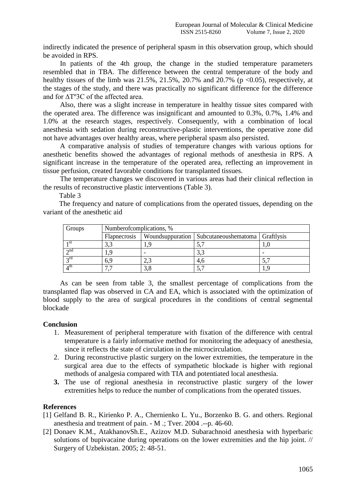indirectly indicated the presence of peripheral spasm in this observation group, which should be avoided in RPS.

In patients of the 4th group, the change in the studied temperature parameters resembled that in TBA. The difference between the central temperature of the body and healthy tissues of the limb was  $21.5\%$ ,  $21.5\%$ ,  $20.7\%$  and  $20.7\%$  (p <0.05), respectively, at the stages of the study, and there was practically no significant difference for the difference and for ∆Tº3C of the affected area.

Also, there was a slight increase in temperature in healthy tissue sites compared with the operated area. The difference was insignificant and amounted to 0.3%, 0.7%, 1.4% and 1.0% at the research stages, respectively. Consequently, with a combination of local anesthesia with sedation during reconstructive-plastic interventions, the operative zone did not have advantages over healthy areas, where peripheral spasm also persisted.

A comparative analysis of studies of temperature changes with various options for anesthetic benefits showed the advantages of regional methods of anesthesia in RPS. A significant increase in the temperature of the operated area, reflecting an improvement in tissue perfusion, created favorable conditions for transplanted tissues.

The temperature changes we discovered in various areas had their clinical reflection in the results of reconstructive plastic interventions (Table 3).

Table 3

The frequency and nature of complications from the operated tissues, depending on the variant of the anesthetic aid

| Groups       | Numberof complications, % |      |                                                      |  |  |  |
|--------------|---------------------------|------|------------------------------------------------------|--|--|--|
|              | Flapnecrosis              |      | Woundsuppuration   Subcutaneoushematoma   Graftlysis |  |  |  |
| 1 st         |                           |      |                                                      |  |  |  |
| $\lambda$ nd |                           |      |                                                      |  |  |  |
| $\gamma$ rd  |                           | ۔ وگ | 4.0                                                  |  |  |  |
|              |                           | J.C  |                                                      |  |  |  |

As can be seen from table 3, the smallest percentage of complications from the transplanted flap was observed in CA and EA, which is associated with the optimization of blood supply to the area of surgical procedures in the conditions of central segmental blockade

## **Conclusion**

- 1. Measurement of peripheral temperature with fixation of the difference with central temperature is a fairly informative method for monitoring the adequacy of anesthesia, since it reflects the state of circulation in the microcirculation.
- 2. During reconstructive plastic surgery on the lower extremities, the temperature in the surgical area due to the effects of sympathetic blockade is higher with regional methods of analgesia compared with TIA and potentiated local anesthesia.
- **3.** The use of regional anesthesia in reconstructive plastic surgery of the lower extremities helps to reduce the number of complications from the operated tissues.

## **References**

- [1] Gelfand B. R., Kirienko P. A., Chernienko L. Yu., Borzenko B. G. and others. Regional anesthesia and treatment of pain. - M .; Tver. 2004 .--p. 46-60.
- [2] Donaev K.M., AtakhanovSh.E., Azizov M.D. Subarachnoid anesthesia with hyperbaric solutions of bupivacaine during operations on the lower extremities and the hip joint. // Surgery of Uzbekistan. 2005; 2: 48-51.